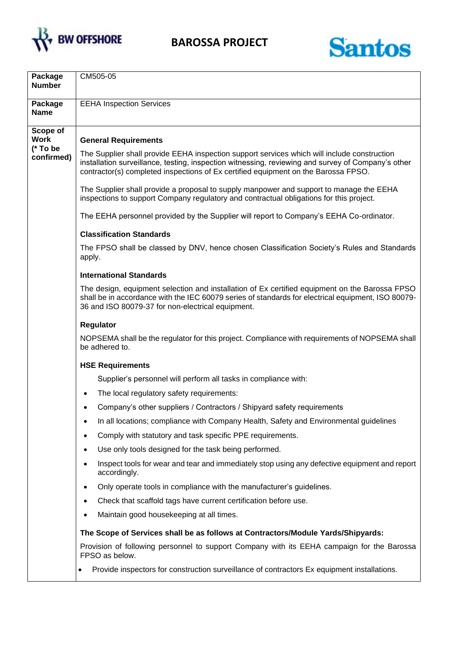



| Package<br><b>Number</b>            | CM505-05                                                                                                                                                                                                                                                                                |  |  |  |  |  |
|-------------------------------------|-----------------------------------------------------------------------------------------------------------------------------------------------------------------------------------------------------------------------------------------------------------------------------------------|--|--|--|--|--|
| Package<br><b>Name</b>              | <b>EEHA Inspection Services</b>                                                                                                                                                                                                                                                         |  |  |  |  |  |
| Scope of<br><b>Work</b><br>(* To be | <b>General Requirements</b>                                                                                                                                                                                                                                                             |  |  |  |  |  |
| confirmed)                          | The Supplier shall provide EEHA inspection support services which will include construction<br>installation surveillance, testing, inspection witnessing, reviewing and survey of Company's other<br>contractor(s) completed inspections of Ex certified equipment on the Barossa FPSO. |  |  |  |  |  |
|                                     | The Supplier shall provide a proposal to supply manpower and support to manage the EEHA<br>inspections to support Company regulatory and contractual obligations for this project.                                                                                                      |  |  |  |  |  |
|                                     | The EEHA personnel provided by the Supplier will report to Company's EEHA Co-ordinator.                                                                                                                                                                                                 |  |  |  |  |  |
|                                     | <b>Classification Standards</b>                                                                                                                                                                                                                                                         |  |  |  |  |  |
|                                     | The FPSO shall be classed by DNV, hence chosen Classification Society's Rules and Standards<br>apply.                                                                                                                                                                                   |  |  |  |  |  |
|                                     | <b>International Standards</b>                                                                                                                                                                                                                                                          |  |  |  |  |  |
|                                     | The design, equipment selection and installation of Ex certified equipment on the Barossa FPSO<br>shall be in accordance with the IEC 60079 series of standards for electrical equipment, ISO 80079-<br>36 and ISO 80079-37 for non-electrical equipment.                               |  |  |  |  |  |
|                                     | Regulator                                                                                                                                                                                                                                                                               |  |  |  |  |  |
|                                     | NOPSEMA shall be the regulator for this project. Compliance with requirements of NOPSEMA shall<br>be adhered to.                                                                                                                                                                        |  |  |  |  |  |
|                                     | <b>HSE Requirements</b>                                                                                                                                                                                                                                                                 |  |  |  |  |  |
|                                     | Supplier's personnel will perform all tasks in compliance with:                                                                                                                                                                                                                         |  |  |  |  |  |
|                                     | The local regulatory safety requirements:<br>$\bullet$                                                                                                                                                                                                                                  |  |  |  |  |  |
|                                     | Company's other suppliers / Contractors / Shipyard safety requirements                                                                                                                                                                                                                  |  |  |  |  |  |
|                                     | In all locations; compliance with Company Health, Safety and Environmental guidelines                                                                                                                                                                                                   |  |  |  |  |  |
|                                     | Comply with statutory and task specific PPE requirements.                                                                                                                                                                                                                               |  |  |  |  |  |
|                                     | Use only tools designed for the task being performed.<br>٠                                                                                                                                                                                                                              |  |  |  |  |  |
|                                     | Inspect tools for wear and tear and immediately stop using any defective equipment and report<br>accordingly.                                                                                                                                                                           |  |  |  |  |  |
|                                     | Only operate tools in compliance with the manufacturer's guidelines.                                                                                                                                                                                                                    |  |  |  |  |  |
|                                     | Check that scaffold tags have current certification before use.<br>٠                                                                                                                                                                                                                    |  |  |  |  |  |
|                                     | Maintain good housekeeping at all times.                                                                                                                                                                                                                                                |  |  |  |  |  |
|                                     | The Scope of Services shall be as follows at Contractors/Module Yards/Shipyards:                                                                                                                                                                                                        |  |  |  |  |  |
|                                     | Provision of following personnel to support Company with its EEHA campaign for the Barossa<br>FPSO as below.                                                                                                                                                                            |  |  |  |  |  |
|                                     | Provide inspectors for construction surveillance of contractors Ex equipment installations.                                                                                                                                                                                             |  |  |  |  |  |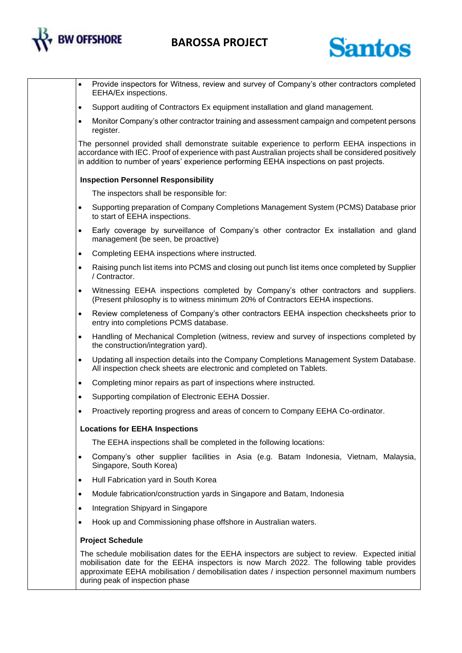

## **BAROSSA PROJECT**



- Provide inspectors for Witness, review and survey of Company's other contractors completed EEHA/Ex inspections.
- Support auditing of Contractors Ex equipment installation and gland management.
- Monitor Company's other contractor training and assessment campaign and competent persons register.

The personnel provided shall demonstrate suitable experience to perform EEHA inspections in accordance with IEC. Proof of experience with past Australian projects shall be considered positively in addition to number of years' experience performing EEHA inspections on past projects.

#### **Inspection Personnel Responsibility**

The inspectors shall be responsible for:

- Supporting preparation of Company Completions Management System (PCMS) Database prior to start of EEHA inspections.
- Early coverage by surveillance of Company's other contractor Ex installation and gland management (be seen, be proactive)
- Completing EEHA inspections where instructed.
- Raising punch list items into PCMS and closing out punch list items once completed by Supplier / Contractor.
- Witnessing EEHA inspections completed by Company's other contractors and suppliers. (Present philosophy is to witness minimum 20% of Contractors EEHA inspections.
- Review completeness of Company's other contractors EEHA inspection checksheets prior to entry into completions PCMS database.
- Handling of Mechanical Completion (witness, review and survey of inspections completed by the construction/integration yard).
- Updating all inspection details into the Company Completions Management System Database. All inspection check sheets are electronic and completed on Tablets.
- Completing minor repairs as part of inspections where instructed.
- Supporting compilation of Electronic EEHA Dossier.
- Proactively reporting progress and areas of concern to Company EEHA Co-ordinator.

#### **Locations for EEHA Inspections**

The EEHA inspections shall be completed in the following locations:

- Company's other supplier facilities in Asia (e.g. Batam Indonesia, Vietnam, Malaysia, Singapore, South Korea)
- Hull Fabrication yard in South Korea
- Module fabrication/construction yards in Singapore and Batam, Indonesia
- Integration Shipyard in Singapore
- Hook up and Commissioning phase offshore in Australian waters.

#### **Project Schedule**

The schedule mobilisation dates for the EEHA inspectors are subject to review. Expected initial mobilisation date for the EEHA inspectors is now March 2022. The following table provides approximate EEHA mobilisation / demobilisation dates / inspection personnel maximum numbers during peak of inspection phase